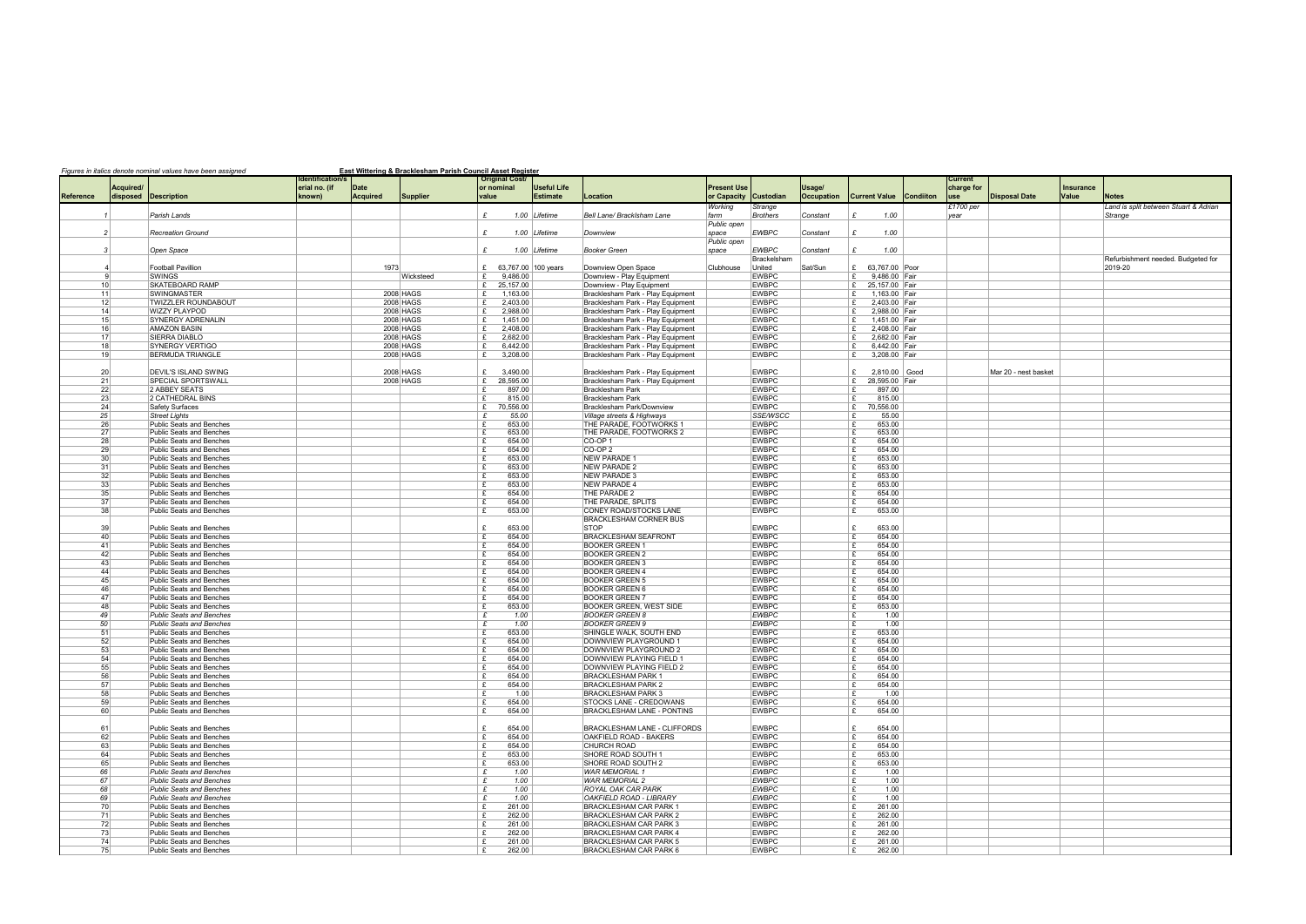|  | Figures in italics denote nominal values have been assigned |  | East Wittering & Bracklesham Parish Council Asset Register |  |  |
|--|-------------------------------------------------------------|--|------------------------------------------------------------|--|--|
|  |                                                             |  |                                                            |  |  |
|  |                                                             |  |                                                            |  |  |

| Current<br>charge for |                      | Insurance |                                       |
|-----------------------|----------------------|-----------|---------------------------------------|
| use                   | <b>Disposal Date</b> | Value     | <b>Notes</b>                          |
| £1700 per             |                      |           | Land is split between Stuart & Adrian |
| year                  |                      |           | Strange                               |
|                       |                      |           |                                       |
|                       |                      |           |                                       |
|                       |                      |           | Refurbishment needed. Budgeted for    |
|                       |                      |           | 2019-20                               |
|                       |                      |           |                                       |
|                       |                      |           |                                       |
|                       |                      |           |                                       |
|                       |                      |           |                                       |
|                       |                      |           |                                       |
|                       |                      |           |                                       |
|                       |                      |           |                                       |
|                       | Mar 20 - nest basket |           |                                       |
|                       |                      |           |                                       |
|                       |                      |           |                                       |
|                       |                      |           |                                       |
|                       |                      |           |                                       |
|                       |                      |           |                                       |
|                       |                      |           |                                       |
|                       |                      |           |                                       |
|                       |                      |           |                                       |
|                       |                      |           |                                       |
|                       |                      |           |                                       |
|                       |                      |           |                                       |
|                       |                      |           |                                       |
|                       |                      |           |                                       |
|                       |                      |           |                                       |
|                       |                      |           |                                       |
|                       |                      |           |                                       |
|                       |                      |           |                                       |
|                       |                      |           |                                       |
|                       |                      |           |                                       |
|                       |                      |           |                                       |
|                       |                      |           |                                       |
|                       |                      |           |                                       |
|                       |                      |           |                                       |
|                       |                      |           |                                       |
|                       |                      |           |                                       |
|                       |                      |           |                                       |
|                       |                      |           |                                       |
|                       |                      |           |                                       |
|                       |                      |           |                                       |
|                       |                      |           |                                       |
|                       |                      |           |                                       |
|                       |                      |           |                                       |
|                       |                      |           |                                       |
|                       |                      |           |                                       |
|                       |                      |           |                                       |
|                       |                      |           |                                       |
|                       |                      |           |                                       |
|                       |                      |           |                                       |

|                  |                       |                                                                    | <b>Identification/s</b> |                                |                        |                | <b>Original Cost</b>  |                                       |                                                                        |                                   |                              |                             |                                                  |                  | Current            |                      |
|------------------|-----------------------|--------------------------------------------------------------------|-------------------------|--------------------------------|------------------------|----------------|-----------------------|---------------------------------------|------------------------------------------------------------------------|-----------------------------------|------------------------------|-----------------------------|--------------------------------------------------|------------------|--------------------|----------------------|
| <b>Reference</b> | Acquired/<br>disposed | <b>Description</b>                                                 | erial no. (if<br>known) | <b>Date</b><br><b>Acquired</b> | Supplier               | value          | or nominal            | <b>Useful Life</b><br><b>Estimate</b> | Location                                                               | <b>Present Use</b><br>or Capacity | Custodian                    | Usage/<br><b>Occupation</b> | <b>Current Value</b>                             | <b>Condiiton</b> | charge for<br>luse | <b>Disposal Date</b> |
|                  |                       |                                                                    |                         |                                |                        |                |                       |                                       |                                                                        | Working                           | <b>Strange</b>               |                             |                                                  |                  | $£1700$ per        |                      |
|                  |                       | Parish Lands                                                       |                         |                                |                        | £              |                       | 1.00 Lifetime                         | Bell Lane/ BrackIsham Lane                                             | farm                              | <b>Brothers</b>              | Constant                    | £<br>1.00                                        |                  | vear               |                      |
|                  |                       |                                                                    |                         |                                |                        |                |                       |                                       |                                                                        | Public open                       |                              |                             |                                                  |                  |                    |                      |
| 2                |                       | <b>Recreation Ground</b>                                           |                         |                                |                        | £              |                       | 1.00 Lifetime                         | Downview                                                               | space                             | <b>EWBPC</b>                 | Constant                    | £<br>1.00                                        |                  |                    |                      |
|                  |                       |                                                                    |                         |                                |                        |                |                       |                                       |                                                                        | Public open                       |                              |                             |                                                  |                  |                    |                      |
| 3                |                       | Open Space                                                         |                         |                                |                        | £              |                       | 1.00 Lifetime                         | Booker Green                                                           | space                             | <b>EWBPC</b>                 | Constant                    | £<br>1.00                                        |                  |                    |                      |
|                  |                       | <b>Football Pavillion</b>                                          |                         | 1973                           |                        |                | £ 63,767.00 100 years |                                       | Downview Open Space                                                    | Clubhouse                         | Brackelsham<br>United        | Sat/Sun                     | 63,767.00 Poor<br>£                              |                  |                    |                      |
| -9               |                       | <b>SWINGS</b>                                                      |                         |                                | Wicksteed              | £              | 9,486.00              |                                       | Downview - Play Equipment                                              |                                   | <b>EWBPC</b>                 |                             | 9,486.00 Fair<br>£                               |                  |                    |                      |
| 10               |                       | <b>SKATEBOARD RAMP</b>                                             |                         |                                |                        | £              | 25,157.00             |                                       | Downview - Play Equipment                                              |                                   | <b>EWBPC</b>                 |                             | 25,157.00 Fair<br>£                              |                  |                    |                      |
| 11               |                       | <b>SWINGMASTER</b>                                                 |                         |                                | 2008 HAGS              | £              | 1,163.00              |                                       | Bracklesham Park - Play Equipment                                      |                                   | <b>EWBPC</b>                 |                             | 1,163.00 Fair                                    |                  |                    |                      |
| 12               |                       | <b>TWIZZLER ROUNDABOUT</b>                                         |                         |                                | 2008 HAGS              | £              | 2,403.00              |                                       | Bracklesham Park - Play Equipment                                      |                                   | <b>EWBPC</b>                 |                             | 2,403.00 Fair                                    |                  |                    |                      |
| 14               |                       | <b>WIZZY PLAYPOD</b>                                               |                         |                                | 2008 HAGS              | £<br>£         | 2,988.00              |                                       | Bracklesham Park - Play Equipment                                      |                                   | <b>EWBPC</b>                 |                             | 2,988.00 Fair<br>$\mathbf{f}$                    |                  |                    |                      |
| 15<br>16         |                       | <b>SYNERGY ADRENALIN</b><br><b>AMAZON BASIN</b>                    |                         |                                | 2008 HAGS<br>2008 HAGS | £              | 1,451.00<br>2,408.00  |                                       | Bracklesham Park - Play Equipment<br>Bracklesham Park - Play Equipment |                                   | <b>EWBPC</b><br><b>EWBPC</b> |                             | 1,451.00 Fair<br>2,408.00 Fair                   |                  |                    |                      |
| 17               |                       | SIERRA DIABLO                                                      |                         |                                | 2008 HAGS              | £              | 2,682.00              |                                       | Bracklesham Park - Play Equipment                                      |                                   | <b>EWBPC</b>                 |                             | 2,682.00 Fair<br>f                               |                  |                    |                      |
| 18               |                       | <b>SYNERGY VERTIGO</b>                                             |                         |                                | 2008 HAGS              | £              | 6,442.00              |                                       | Bracklesham Park - Play Equipment                                      |                                   | <b>EWBPC</b>                 |                             | 6,442.00 Fair<br>f                               |                  |                    |                      |
| 19               |                       | <b>BERMUDA TRIANGLE</b>                                            |                         |                                | 2008 HAGS              | £              | 3,208.00              |                                       | Bracklesham Park - Play Equipment                                      |                                   | <b>EWBPC</b>                 |                             | 3,208.00 Fair                                    |                  |                    |                      |
|                  |                       |                                                                    |                         |                                |                        |                |                       |                                       |                                                                        |                                   |                              |                             |                                                  |                  |                    |                      |
| 20               |                       | <b>DEVIL'S ISLAND SWING</b>                                        |                         |                                | 2008 HAGS              | £              | 3,490.00              |                                       | Bracklesham Park - Play Equipment                                      |                                   | <b>EWBPC</b><br><b>EWBPC</b> |                             | £<br>2,810.00 Good<br>$\mathbf{f}$               |                  |                    | Mar 20 - nest baske  |
| 21<br>22         |                       | <b>SPECIAL SPORTSWALL</b><br>2 ABBEY SEATS                         |                         |                                | 2008 HAGS              | £<br>£         | 28,595.00<br>897.00   |                                       | Bracklesham Park - Play Equipment<br>Bracklesham Park                  |                                   | <b>EWBPC</b>                 |                             | 28,595.00 Fair<br>897.00<br>$\mathbf{f}$         |                  |                    |                      |
| 23               |                       | 2 CATHEDRAL BINS                                                   |                         |                                |                        | £              | 815.00                |                                       | Bracklesham Park                                                       |                                   | <b>EWBPC</b>                 |                             | 815.00<br>f                                      |                  |                    |                      |
| 24               |                       | <b>Safety Surfaces</b>                                             |                         |                                |                        | £              | 70,556.00             |                                       | Bracklesham Park/Downview                                              |                                   | <b>EWBPC</b>                 |                             | 70,556.00<br>£                                   |                  |                    |                      |
| 25               |                       | <b>Street Lights</b>                                               |                         |                                |                        | £              | 55.00                 |                                       | Village streets & Highways                                             |                                   | SSE/WSCC                     |                             | $\mathbf{f}$<br>55.00                            |                  |                    |                      |
| 26               |                       | <b>Public Seats and Benches</b>                                    |                         |                                |                        | £              | 653.00                |                                       | THE PARADE, FOOTWORKS *                                                |                                   | <b>EWBPC</b>                 |                             | 653.00<br>$\mathbf{f}$                           |                  |                    |                      |
| 27               |                       | <b>Public Seats and Benches</b>                                    |                         |                                |                        | £              | 653.00                |                                       | THE PARADE, FOOTWORKS 2                                                |                                   | <b>EWBPC</b>                 |                             | E<br>653.00                                      |                  |                    |                      |
| 28<br>29         |                       | <b>Public Seats and Benches</b><br><b>Public Seats and Benches</b> |                         |                                |                        | £<br>£         | 654.00<br>654.00      |                                       | CO-OP <sub>1</sub><br>CO-OP 2                                          |                                   | <b>EWBPC</b><br><b>EWBPC</b> |                             | 654.00<br>E<br>$\mathbf{f}$<br>654.00            |                  |                    |                      |
| 30 <sup>°</sup>  |                       | <b>Public Seats and Benches</b>                                    |                         |                                |                        | £              | 653.00                |                                       | <b>NEW PARADE 1</b>                                                    |                                   | <b>EWBPC</b>                 |                             | E<br>653.00                                      |                  |                    |                      |
| 31               |                       | <b>Public Seats and Benches</b>                                    |                         |                                |                        | £              | 653.00                |                                       | <b>NEW PARADE 2</b>                                                    |                                   | <b>EWBPC</b>                 |                             | 653.00<br>E                                      |                  |                    |                      |
| 32               |                       | <b>Public Seats and Benches</b>                                    |                         |                                |                        | £              | 653.00                |                                       | <b>NEW PARADE 3</b>                                                    |                                   | <b>EWBPC</b>                 |                             | 653.00<br>$\mathbf{f}$                           |                  |                    |                      |
| 33               |                       | <b>Public Seats and Benches</b>                                    |                         |                                |                        | £              | 653.00                |                                       | <b>NEW PARADE 4</b>                                                    |                                   | <b>EWBPC</b>                 |                             | 653.00<br>E                                      |                  |                    |                      |
| 35               |                       | <b>Public Seats and Benches</b>                                    |                         |                                |                        | £              | 654.00                |                                       | THE PARADE 2                                                           |                                   | <b>EWBPC</b>                 |                             | 654.00<br>f                                      |                  |                    |                      |
| 37               |                       | <b>Public Seats and Benches</b><br><b>Public Seats and Benches</b> |                         |                                |                        | £<br>£         | 654.00                |                                       | THE PARADE, SPLITS                                                     |                                   | <b>EWBPC</b><br><b>EWBPC</b> |                             | F<br>654.00<br>$\mathbf{f}$                      |                  |                    |                      |
| 38               |                       |                                                                    |                         |                                |                        |                | 653.00                |                                       | CONEY ROAD/STOCKS LANE<br><b>BRACKLESHAM CORNER BUS</b>                |                                   |                              |                             | 653.00                                           |                  |                    |                      |
| 39               |                       | <b>Public Seats and Benches</b>                                    |                         |                                |                        | £              | 653.00                |                                       | <b>STOP</b>                                                            |                                   | <b>EWBPC</b>                 |                             | 653.00<br>$\mathbf{f}$                           |                  |                    |                      |
| 40               |                       | <b>Public Seats and Benches</b>                                    |                         |                                |                        | £              | 654.00                |                                       | <b>BRACKLESHAM SEAFRONT</b>                                            |                                   | <b>EWBPC</b>                 |                             | 654.00<br>E                                      |                  |                    |                      |
| 41               |                       | <b>Public Seats and Benches</b>                                    |                         |                                |                        | £              | 654.00                |                                       | <b>BOOKER GREEN 1</b>                                                  |                                   | <b>EWBPC</b>                 |                             | 654.00                                           |                  |                    |                      |
| 42               |                       | <b>Public Seats and Benches</b>                                    |                         |                                |                        | £              | 654.00                |                                       | <b>BOOKER GREEN 2</b>                                                  |                                   | <b>EWBPC</b>                 |                             | 654.00<br>$\mathbf{f}$                           |                  |                    |                      |
| 43               |                       | <b>Public Seats and Benches</b>                                    |                         |                                |                        | £              | 654.00                |                                       | <b>BOOKER GREEN 3</b>                                                  |                                   | <b>EWBPC</b>                 |                             | Ι£<br>654.00                                     |                  |                    |                      |
| 44<br>45         |                       | <b>Public Seats and Benches</b><br><b>Public Seats and Benches</b> |                         |                                |                        | £<br>£         | 654.00<br>654.00      |                                       | <b>BOOKER GREEN 4</b><br><b>BOOKER GREEN 5</b>                         |                                   | <b>EWBPC</b><br><b>EWBPC</b> |                             | 654.00<br>$\mathbf{f}$<br>$\mathbf{f}$<br>654.00 |                  |                    |                      |
| 46               |                       | <b>Public Seats and Benches</b>                                    |                         |                                |                        | £              | 654.00                |                                       | <b>BOOKER GREEN 6</b>                                                  |                                   | <b>EWBPC</b>                 |                             | 654.00<br>E                                      |                  |                    |                      |
| 47               |                       | <b>Public Seats and Benches</b>                                    |                         |                                |                        | £              | 654.00                |                                       | <b>BOOKER GREEN 7</b>                                                  |                                   | <b>EWBPC</b>                 |                             | 654.00                                           |                  |                    |                      |
| 48               |                       | <b>Public Seats and Benches</b>                                    |                         |                                |                        | £              | 653.00                |                                       | <b>BOOKER GREEN. WEST SIDE</b>                                         |                                   | <b>EWBPC</b>                 |                             | 653.00                                           |                  |                    |                      |
| 49               |                       | <b>Public Seats and Benches</b>                                    |                         |                                |                        | £              | 1.00                  |                                       | <b>BOOKER GREEN 8</b>                                                  |                                   | <b>EWBPC</b>                 |                             | 1.00<br>Ι£                                       |                  |                    |                      |
| 50               |                       | <b>Public Seats and Benches</b>                                    |                         |                                |                        | £              | 1.00                  |                                       | <b>BOOKER GREEN 9</b>                                                  |                                   | <b>EWBPC</b>                 |                             | F<br>1.00                                        |                  |                    |                      |
| 51               |                       | <b>Public Seats and Benches</b>                                    |                         |                                |                        | £              | 653.00                |                                       | SHINGLE WALK, SOUTH END                                                |                                   | <b>EWBPC</b>                 |                             | 653.00<br>$\mathbf{f}$                           |                  |                    |                      |
| 52<br>53         |                       | <b>Public Seats and Benches</b><br><b>Public Seats and Benches</b> |                         |                                |                        | £<br>£         | 654.00<br>654.00      |                                       | DOWNVIEW PLAYGROUND 1<br>DOWNVIEW PLAYGROUND 2                         |                                   | <b>EWBPC</b><br><b>EWBPC</b> |                             | 654.00<br>654.00<br>$\mathbf{f}$                 |                  |                    |                      |
| 54               |                       | <b>Public Seats and Benches</b>                                    |                         |                                |                        | £              | 654.00                |                                       | DOWNVIEW PLAYING FIELD 1                                               |                                   | <b>EWBPC</b>                 |                             | $\mathbf{f}$<br>654.00                           |                  |                    |                      |
| 55               |                       | <b>Public Seats and Benches</b>                                    |                         |                                |                        | £              | 654.00                |                                       | DOWNVIEW PLAYING FIELD 2                                               |                                   | <b>EWBPC</b>                 |                             | 654.00                                           |                  |                    |                      |
| 56               |                       | <b>Public Seats and Benches</b>                                    |                         |                                |                        | $\overline{E}$ | 654.00                |                                       | <b>BRACKLESHAM PARK 1</b>                                              |                                   | <b>EWBPC</b>                 |                             | £<br>654.00                                      |                  |                    |                      |
| 57               |                       | Public Seats and Benches                                           |                         |                                |                        | £              | 654.00                |                                       | <b>BRACKLESHAM PARK 2</b>                                              |                                   | <b>EWBPC</b>                 |                             | 654.00<br>Ε                                      |                  |                    |                      |
| 58               |                       | Public Seats and Benches                                           |                         |                                |                        | £              | 1.00                  |                                       | <b>BRACKLESHAM PARK 3</b>                                              |                                   | <b>EWBPC</b>                 |                             | £<br>1.00                                        |                  |                    |                      |
| 59<br>60         |                       | Public Seats and Benches<br>Public Seats and Benches               |                         |                                |                        | £<br>£         | 654.00<br>654.00      |                                       | <b>STOCKS LANE - CREDOWANS</b><br><b>BRACKLESHAM LANE - PONTINS</b>    |                                   | <b>EWBPC</b><br><b>EWBPC</b> |                             | 654.00<br>Ι£<br>654.00                           |                  |                    |                      |
|                  |                       |                                                                    |                         |                                |                        |                |                       |                                       |                                                                        |                                   |                              |                             | Ε                                                |                  |                    |                      |
| 61               |                       | Public Seats and Benches                                           |                         |                                |                        | £              | 654.00                |                                       | BRACKLESHAM LANE - CLIFFORDS                                           |                                   | <b>EWBPC</b>                 |                             | 654.00<br>Ι£                                     |                  |                    |                      |
| 62               |                       | <b>Public Seats and Benches</b>                                    |                         |                                |                        | £              | 654.00                |                                       | OAKFIELD ROAD - BAKERS                                                 |                                   | <b>EWBPC</b>                 |                             | 654.00<br>Ι£                                     |                  |                    |                      |
| 63               |                       | Public Seats and Benches                                           |                         |                                |                        | £              | 654.00                |                                       | <b>CHURCH ROAD</b>                                                     |                                   | <b>EWBPC</b>                 |                             | Ι£<br>654.00                                     |                  |                    |                      |
| 64               |                       | Public Seats and Benches                                           |                         |                                |                        | £              | 653.00                |                                       | <b>SHORE ROAD SOUTH 1</b>                                              |                                   | <b>EWBPC</b>                 |                             | £<br>653.00                                      |                  |                    |                      |
| 65               |                       | Public Seats and Benches                                           |                         |                                |                        | £              | 653.00                |                                       | SHORE ROAD SOUTH 2                                                     |                                   | <b>EWBPC</b>                 |                             | 653.00<br>£                                      |                  |                    |                      |
| 66<br>67         |                       | <b>Public Seats and Benches</b><br><b>Public Seats and Benches</b> |                         |                                |                        | £<br>£         | 1.00<br>1.00          |                                       | WAR MEMORIAL 1<br>WAR MEMORIAL 2                                       |                                   | <b>EWBPC</b><br>EWBPC        |                             | Ι£<br>1.00<br>£<br>1.00                          |                  |                    |                      |
| 68               |                       | <b>Public Seats and Benches</b>                                    |                         |                                |                        | £              | 1.00                  |                                       | <b>ROYAL OAK CAR PARK</b>                                              |                                   | <b>EWBPC</b>                 |                             | £<br>1.00                                        |                  |                    |                      |
| 69               |                       | <b>Public Seats and Benches</b>                                    |                         |                                |                        | £              | 1.00                  |                                       | OAKFIELD ROAD - LIBRARY                                                |                                   | <b>EWBPC</b>                 |                             | Ι£<br>1.00                                       |                  |                    |                      |
| 70               |                       | Public Seats and Benches                                           |                         |                                |                        | £              | 261.00                |                                       | <b>BRACKLESHAM CAR PARK 1</b>                                          |                                   | <b>EWBPC</b>                 |                             | 261.00<br>Ε                                      |                  |                    |                      |
| 71               |                       | Public Seats and Benches                                           |                         |                                |                        | £              | 262.00                |                                       | <b>BRACKLESHAM CAR PARK 2</b>                                          |                                   | <b>EWBPC</b>                 |                             | 262.00<br>£                                      |                  |                    |                      |
| 72               |                       | Public Seats and Benches                                           |                         |                                |                        | £              | 261.00                |                                       | <b>BRACKLESHAM CAR PARK 3</b>                                          |                                   | <b>EWBPC</b>                 |                             | 261.00<br>Ι£                                     |                  |                    |                      |
| 73               |                       | Public Seats and Benches                                           |                         |                                |                        | £              | 262.00                |                                       | <b>BRACKLESHAM CAR PARK 4</b>                                          |                                   | <b>EWBPC</b>                 |                             | 262.00<br>Ε                                      |                  |                    |                      |
| 74<br>75         |                       | Public Seats and Benches<br><b>Public Seats and Benches</b>        |                         |                                |                        | £<br>£         | 261.00<br>262.00      |                                       | <b>BRACKLESHAM CAR PARK 5</b><br>BRACKLESHAM CAR PARK 6                |                                   | <b>EWBPC</b><br><b>EWBPC</b> |                             | Ι£<br>261.00<br>£<br>262.00                      |                  |                    |                      |
|                  |                       |                                                                    |                         |                                |                        |                |                       |                                       |                                                                        |                                   |                              |                             |                                                  |                  |                    |                      |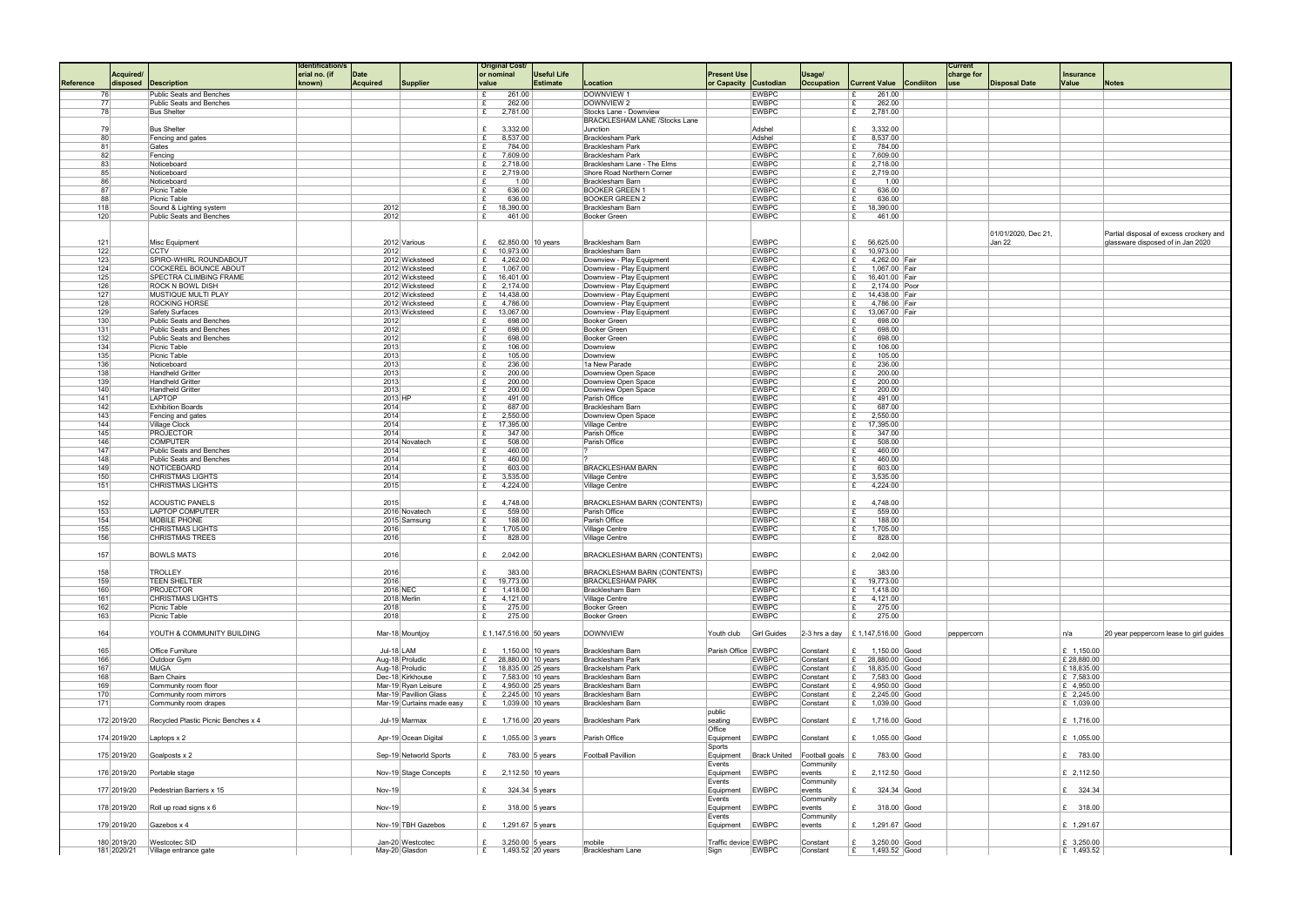|                  |             |                                      | dentification/ |                 |                           | <b>Original Cost</b>                         |                        |                                      |                      |                     |                                     |                  | <b>Current</b> |                      |              |                                         |
|------------------|-------------|--------------------------------------|----------------|-----------------|---------------------------|----------------------------------------------|------------------------|--------------------------------------|----------------------|---------------------|-------------------------------------|------------------|----------------|----------------------|--------------|-----------------------------------------|
|                  | Acquired/   |                                      | erial no. (if  | Date            |                           | or nominal                                   | <b>Useful Life</b>     |                                      | <b>Present Use</b>   |                     | Usage/                              |                  | charge for     |                      | Insurance    |                                         |
| <b>Reference</b> | disposed    | <b>Description</b>                   | known)         | <b>Acquired</b> | Supplier                  | value                                        | <b>Estimate</b>        | Location                             | or Capacity          | Custodian           | Occupation<br><b>Current Value</b>  | <b>Condiiton</b> | use            | <b>Disposal Date</b> | Value        | <b>Notes</b>                            |
| 76               |             | Public Seats and Benches             |                |                 |                           | 261.00<br>£                                  |                        | DOWNVIEW 1                           |                      | <b>EWBPC</b>        | 261.00<br>f                         |                  |                |                      |              |                                         |
| 77               |             | Public Seats and Benches             |                |                 |                           | £<br>262.00                                  |                        | DOWNVIEW 2                           |                      | <b>EWBPC</b>        | 262.00<br>£                         |                  |                |                      |              |                                         |
| 78               |             | <b>Bus Shelter</b>                   |                |                 |                           | 2,781.00<br>£                                |                        | Stocks Lane - Downview               |                      | <b>EWBPC</b>        | 2,781.00<br>£                       |                  |                |                      |              |                                         |
|                  |             |                                      |                |                 |                           |                                              |                        | <b>BRACKLESHAM LANE /Stocks Lane</b> |                      |                     |                                     |                  |                |                      |              |                                         |
| 79               |             | <b>Bus Shelter</b>                   |                |                 |                           | £<br>3,332.00                                |                        | Junction                             |                      | Adshel              | 3,332.00<br>$\mathbf{f}$            |                  |                |                      |              |                                         |
| 80 <sup>2</sup>  |             | Fencing and gates                    |                |                 |                           | 8,537.00<br>£                                |                        | <b>Bracklesham Park</b>              |                      | Adshel              | 8,537.00<br>£                       |                  |                |                      |              |                                         |
| 81               |             | Gates                                |                |                 |                           | 784.00<br>E                                  |                        | <b>Bracklesham Park</b>              |                      | <b>EWBPC</b>        | ∣£.<br>784.00                       |                  |                |                      |              |                                         |
| 82               |             | Fencing                              |                |                 |                           | 7,609.00<br>£                                |                        | <b>Bracklesham Park</b>              |                      | <b>EWBPC</b>        | 7,609.00<br>£                       |                  |                |                      |              |                                         |
| 83               |             | Noticeboard                          |                |                 |                           | £<br>2,718.00                                |                        | Bracklesham Lane - The Elms          |                      | <b>EWBPC</b>        | 2,718.00<br>£                       |                  |                |                      |              |                                         |
| 85               |             | Noticeboard                          |                |                 |                           | £<br>2,719.00                                |                        | Shore Road Northern Corner           |                      | <b>EWBPC</b>        | Ι£<br>2,719.00                      |                  |                |                      |              |                                         |
| 86               |             | Noticeboard                          |                |                 |                           | £                                            | 1.00                   | Bracklesham Barn                     |                      | <b>EWBPC</b>        | 1.00<br>£                           |                  |                |                      |              |                                         |
| 87               |             | Picnic Table                         |                |                 |                           | £<br>636.00                                  |                        | <b>BOOKER GREEN 1</b>                |                      | <b>EWBPC</b>        | 636.00<br>£                         |                  |                |                      |              |                                         |
|                  |             |                                      |                |                 |                           | E                                            |                        |                                      |                      |                     | ∣£.                                 |                  |                |                      |              |                                         |
| 88               |             | Picnic Table                         |                |                 |                           | 636.00                                       |                        | <b>BOOKER GREEN 2</b>                |                      | <b>EWBPC</b>        | 636.00                              |                  |                |                      |              |                                         |
| 118              |             | Sound & Lighting system              |                | 2012            |                           | 18,390.00<br>£                               |                        | Bracklesham Barn                     |                      | <b>EWBPC</b>        | 18,390.00<br>E                      |                  |                |                      |              |                                         |
| 120              |             | Public Seats and Benches             |                | 2012            |                           | 461.00<br>£                                  |                        | Booker Green                         |                      | <b>EWBPC</b>        | 461.00<br>£                         |                  |                |                      |              |                                         |
|                  |             |                                      |                |                 |                           |                                              |                        |                                      |                      |                     |                                     |                  |                |                      |              |                                         |
|                  |             |                                      |                |                 |                           |                                              |                        |                                      |                      |                     |                                     |                  |                | 01/01/2020, Dec 21,  |              | Partial disposal of excess crockery and |
| 121              |             | Misc Equipment                       |                |                 | 2012 Various              | £ 62,850.00 10 years                         |                        | Bracklesham Barn                     |                      | <b>EWBPC</b>        | £ 56,625.00                         |                  |                | Jan 22               |              | glassware disposed of in Jan 2020       |
| 122              |             | <b>CCTV</b>                          |                | 2012            |                           | £ 10,973.00                                  |                        | Bracklesham Barn                     |                      | <b>EWBPC</b>        | 10,973.00<br>£                      |                  |                |                      |              |                                         |
| 123              |             | SPIRO-WHIRL ROUNDABOUT               |                |                 | 2012 Wicksteed            | 4,262.00<br>£                                |                        | Downview - Play Equipment            |                      | <b>EWBPC</b>        | £                                   | 4,262.00 Fair    |                |                      |              |                                         |
| 124              |             | COCKEREL BOUNCE ABOUT                |                |                 | 2012 Wicksteed            | 1,067.00<br>£                                |                        | Downview - Play Equipment            |                      | <b>EWBPC</b>        | ∣£.                                 | 1,067.00 Fair    |                |                      |              |                                         |
| 125              |             | <b>SPECTRA CLIMBING FRAME</b>        |                |                 | 2012 Wicksteed            | £ $16,401.00$                                |                        | Downview - Play Equipment            |                      | <b>EWBPC</b>        | £ 16,401.00   Fair                  |                  |                |                      |              |                                         |
| 126              |             | <b>ROCK N BOWL DISH</b>              |                |                 | 2012 Wicksteed            | £<br>2,174.00                                |                        | Downview - Play Equipment            |                      | <b>EWBPC</b>        | £                                   | 2,174.00 Poor    |                |                      |              |                                         |
| 127              |             | MUSTIQUE MULTI PLAY                  |                |                 | 2012 Wicksteed            | 14,438.00<br>£                               |                        | Downview - Play Equipment            |                      | <b>EWBPC</b>        | £<br>14,438.00 Fair                 |                  |                |                      |              |                                         |
| 128              |             | <b>ROCKING HORSE</b>                 |                |                 | 2012 Wicksteed            | 4,786.00<br>£                                |                        | Downview - Play Equipment            |                      | <b>EWBPC</b>        | £                                   | 4,786.00 Fair    |                |                      |              |                                         |
| 129              |             | Safety Surfaces                      |                |                 | 2013 Wicksteed            | 13,067.00<br>£                               |                        | Downview - Play Equipment            |                      | <b>EWBPC</b>        | E 13,067.00 Fair                    |                  |                |                      |              |                                         |
| 130              |             | Public Seats and Benches             |                | 2012            |                           | E<br>698.00                                  |                        | <b>Booker Green</b>                  |                      | <b>EWBPC</b>        | £<br>698.00                         |                  |                |                      |              |                                         |
| 131              |             | Public Seats and Benches             |                | 2012            |                           | 698.00<br>£                                  |                        | <b>Booker Green</b>                  |                      | <b>EWBPC</b>        | 698.00<br>£                         |                  |                |                      |              |                                         |
| 132              |             | Public Seats and Benches             |                | 2012            |                           | E<br>698.00                                  |                        | <b>Booker Green</b>                  |                      | <b>EWBPC</b>        | 698.00<br>∣£.                       |                  |                |                      |              |                                         |
| 134              |             | Picnic Table                         |                | 2013            |                           | E<br>106.00                                  |                        | Downview                             |                      | <b>EWBPC</b>        | 106.00<br>£                         |                  |                |                      |              |                                         |
|                  |             |                                      |                | 2013            |                           | £                                            |                        | Downview                             |                      |                     |                                     |                  |                |                      |              |                                         |
| 135              |             | Picnic Table                         |                |                 |                           | 105.00                                       |                        |                                      |                      | <b>EWBPC</b>        | 105.00                              |                  |                |                      |              |                                         |
| 136              |             | Noticeboard                          |                | 2013            |                           | $\mathbf{f}$<br>236.00                       |                        | 1a New Parade                        |                      | <b>EWBPC</b>        | 236.00<br>£                         |                  |                |                      |              |                                         |
| 138              |             | Handheld Gritter                     |                | 2013            |                           | 200.00<br>£                                  |                        | Downview Open Space                  |                      | <b>EWBPC</b>        | 200.00<br>£                         |                  |                |                      |              |                                         |
| 139              |             | Handheld Gritter                     |                | 2013            |                           | £<br>200.00                                  |                        | Downview Open Space                  |                      | <b>EWBPC</b>        | 200.00                              |                  |                |                      |              |                                         |
| 140              |             | Handheld Gritter                     |                | 2013            |                           | E<br>200.00                                  |                        | Downview Open Space                  |                      | <b>EWBPC</b>        | 200.00<br>l £                       |                  |                |                      |              |                                         |
| 141              |             | LAPTOP                               |                | 2013 HP         |                           | 491.00<br>£                                  |                        | Parish Office                        |                      | <b>EWBPC</b>        | 491.00<br>£                         |                  |                |                      |              |                                         |
| 142              |             | <b>Exhibition Boards</b>             |                | 2014            |                           | £<br>687.00                                  |                        | <b>Bracklesham Barn</b>              |                      | <b>EWBPC</b>        | 687.00<br>£                         |                  |                |                      |              |                                         |
| 143              |             | Fencing and gates                    |                | 2014            |                           | E<br>2,550.00                                |                        | Downview Open Space                  |                      | <b>EWBPC</b>        | ∣£.<br>2,550.00                     |                  |                |                      |              |                                         |
| 144              |             | Village Clock                        |                | 2014            |                           | 17,395.00<br>£                               |                        | Village Centre                       |                      | <b>EWBPC</b>        | 17,395.00<br>£                      |                  |                |                      |              |                                         |
| 145              |             | PROJECTOR                            |                | 2014            |                           | 347.00<br>£                                  |                        | Parish Office                        |                      | <b>EWBPC</b>        | 347.00<br>£                         |                  |                |                      |              |                                         |
| 146              |             | <b>COMPUTER</b>                      |                |                 | 2014 Novatech             | E<br>508.00                                  |                        | Parish Office                        |                      | <b>EWBPC</b>        | 508.00<br>Ι£                        |                  |                |                      |              |                                         |
| 147              |             | Public Seats and Benches             |                | 2014            |                           | 460.00<br>$\mathbf{f}$                       |                        | $\overline{2}$                       |                      | <b>EWBPC</b>        | 460.00<br>f                         |                  |                |                      |              |                                         |
| 148              |             | Public Seats and Benches             |                | 2014            |                           | 460.00<br>E                                  |                        |                                      |                      | <b>EWBPC</b>        | 460.00<br>$\mathbf{f}$              |                  |                |                      |              |                                         |
| 149              |             | NOTICEBOARD                          |                | 2014            |                           | E<br>603.00                                  |                        | <b>BRACKLESHAM BARN</b>              |                      | <b>EWBPC</b>        | 603.00<br>£                         |                  |                |                      |              |                                         |
| 150              |             | <b>CHRISTMAS LIGHTS</b>              |                | 2014            |                           | £<br>3,535.00                                |                        | Village Centre                       |                      | <b>EWBPC</b>        | 3,535.00<br>£                       |                  |                |                      |              |                                         |
| 151              |             | <b>CHRISTMAS LIGHTS</b>              |                | 2015            |                           | 4,224.00<br>£                                |                        | Village Centre                       |                      | <b>EWBPC</b>        | 4,224.00<br>£                       |                  |                |                      |              |                                         |
|                  |             |                                      |                |                 |                           |                                              |                        |                                      |                      |                     |                                     |                  |                |                      |              |                                         |
|                  |             |                                      |                |                 |                           |                                              |                        | <b>BRACKLESHAM BARN (CONTENTS)</b>   |                      |                     |                                     |                  |                |                      |              |                                         |
| 152              |             | <b>ACOUSTIC PANELS</b>               |                | 2015            |                           | £<br>4,748.00                                |                        |                                      |                      | <b>EWBPC</b>        | 4,748.00<br>£                       |                  |                |                      |              |                                         |
| 153              |             | <b>LAPTOP COMPUTER</b>               |                |                 | 2016 Novatech             | $\mathbf{f}$<br>559.00                       |                        | Parish Office                        |                      | <b>EWBPC</b>        | £<br>559.00                         |                  |                |                      |              |                                         |
| 154              |             | <b>MOBILE PHONE</b>                  |                |                 | 2015 Samsung              | 188.00<br>E                                  |                        | Parish Office                        |                      | <b>EWBPC</b>        | 188.00<br>$\mathbf{f}$              |                  |                |                      |              |                                         |
| 155              |             | <b>CHRISTMAS LIGHTS</b>              |                | 2016            |                           | £<br>1,705.00                                |                        | Village Centre                       |                      | <b>EWBPC</b>        | £<br>1,705.00                       |                  |                |                      |              |                                         |
| 156              |             | <b>CHRISTMAS TREES</b>               |                | 2016            |                           | 828.00<br>£                                  |                        | <b>Village Centre</b>                |                      | <b>EWBPC</b>        | 828.00<br>£                         |                  |                |                      |              |                                         |
|                  |             |                                      |                |                 |                           |                                              |                        |                                      |                      |                     |                                     |                  |                |                      |              |                                         |
| 157              |             | <b>BOWLS MATS</b>                    |                | 2016            |                           | 2,042.00<br>E                                |                        | <b>BRACKLESHAM BARN (CONTENTS)</b>   |                      | <b>EWBPC</b>        | $E = 2,042.00$                      |                  |                |                      |              |                                         |
|                  |             |                                      |                |                 |                           |                                              |                        |                                      |                      |                     |                                     |                  |                |                      |              |                                         |
| 158              |             | <b>TROLLEY</b>                       |                | 2016            |                           | E<br>383.00                                  |                        | <b>BRACKLESHAM BARN (CONTENTS)</b>   |                      | <b>EWBPC</b>        | 383.00<br>$\mathbf{f}$              |                  |                |                      |              |                                         |
| 159              |             | <b>TEEN SHELTER</b>                  |                | 2016            |                           | £ 19,773.00                                  |                        | <b>BRACKLESHAM PARK</b>              |                      | <b>EWBPC</b>        | $E$ 19,773.00                       |                  |                |                      |              |                                         |
| 160              |             | PROJECTOR                            |                | 2016 NEC        |                           | 1,418.00<br>£                                |                        | Bracklesham Barn                     |                      | <b>EWBPC</b>        | £ 1,418.00                          |                  |                |                      |              |                                         |
| 161              |             | <b>CHRISTMAS LIGHTS</b>              |                |                 | 2018 Merlin               | 4,121.00<br>£                                |                        | Village Centre                       |                      | <b>EWBPC</b>        | 4,121.00<br>E                       |                  |                |                      |              |                                         |
| 162              |             | Picnic Table                         |                | 2018            |                           | 275.00<br>£                                  |                        | <b>Booker Green</b>                  |                      | <b>EWBPC</b>        | 275.00<br>£                         |                  |                |                      |              |                                         |
| 163              |             | Picnic Table                         |                | 2018            |                           | 275.00<br>E                                  |                        | <b>Booker Green</b>                  |                      | <b>EWBPC</b>        | 275.00<br>£                         |                  |                |                      |              |                                         |
|                  |             |                                      |                |                 |                           |                                              |                        |                                      |                      |                     |                                     |                  |                |                      |              |                                         |
| 164              |             | YOUTH & COMMUNITY BUILDING           |                |                 | Mar-18 Mountiov           |                                              | £1,147,516.00 50 years | <b>DOWNVIEW</b>                      | Youth club           | <b>Girl Guides</b>  | 2-3 hrs a day   £ 1,147,516.00 Good |                  | peppercorn     |                      | n/a          | 20 year peppercorn lease to girl quides |
|                  |             |                                      |                |                 |                           |                                              |                        |                                      |                      |                     |                                     |                  |                |                      |              |                                         |
| 165              |             | Office Furniture                     |                | Jul-18 $ $ LAM  |                           | £ 1,150.00 10 years                          |                        | Bracklesham Barn                     | Parish Office EWBPC  |                     | Constant<br>£ $1,150.00$ Good       |                  |                |                      | £ $1,150.00$ |                                         |
| 166              |             | Outdoor Gym                          |                |                 | Aug-18 Proludic           | £ 28,880.00 10 years                         |                        | Bracklesham Park                     |                      | <b>EWBPC</b>        | £ 28,880.00 Good<br>Constant        |                  |                |                      | £ 28,880.00  |                                         |
| 167              |             | <b>MUGA</b>                          |                |                 | Aug-18 Proludic           |                                              |                        | <b>Brackelsham Park</b>              |                      | <b>EWBPC</b>        | £ 18,835.00 Good<br>Constant        |                  |                |                      | £18,835.00   |                                         |
| 168              |             | <b>Barn Chairs</b>                   |                |                 | Dec-18 Kirkhouse          | £ 18,835.00 25 years                         |                        | Bracklesham Barn                     |                      | <b>EWBPC</b>        |                                     | 7,583.00 Good    |                |                      | $E$ 7,583.00 |                                         |
| 169              |             | Community room floor                 |                |                 | Mar-19 Ryan Leisure       | £ 7,583.00 10 years<br>£ $4,950.00$ 25 years |                        | Bracklesham Barn                     |                      | <b>EWBPC</b>        | Constant<br>E<br>Constant           |                  |                |                      |              |                                         |
|                  |             |                                      |                |                 |                           |                                              |                        |                                      |                      |                     | E                                   | 4,950.00 Good    |                |                      | $E$ 4,950.00 |                                         |
| 170              |             | Community room mirrors               |                |                 | Mar-19 Pavillion Glass    | E                                            | 2,245.00 10 years      | Bracklesham Barn                     |                      | <b>EWBPC</b>        | Constant<br>Ι£                      | 2,245.00 Good    |                |                      | $E$ 2,245.00 |                                         |
| 171              |             | Community room drapes                |                |                 | Mar-19 Curtains made easy | E                                            | 1,039.00 10 years      | Bracklesham Barn                     |                      | <b>EWBPC</b>        | E<br>Constant                       | 1,039.00 Good    |                |                      | $E$ 1,039.00 |                                         |
|                  |             |                                      |                |                 |                           |                                              |                        |                                      | public               |                     |                                     |                  |                |                      |              |                                         |
|                  | 172 2019/20 | Recycled Plastic Picnic Benches x 4  |                |                 | Jul-19 Marmax             | £ 1,716.00 20 years                          |                        | Bracklesham Park                     | seating              | <b>EWBPC</b>        | £ 1,716.00 Good<br>Constant         |                  |                |                      | £ 1,716.00   |                                         |
|                  |             |                                      |                |                 |                           |                                              |                        |                                      | Office               |                     |                                     |                  |                |                      |              |                                         |
|                  | 174 2019/20 | Laptops $x$ 2                        |                |                 | Apr-19 Ocean Digital      | £                                            | 1,055.00 3 years       | Parish Office                        | Equipment            | <b>EWBPC</b>        | Constant                            | 1,055.00 Good    |                |                      | £ 1,055.00   |                                         |
|                  |             |                                      |                |                 |                           |                                              |                        |                                      | Sports               |                     |                                     |                  |                |                      |              |                                         |
|                  | 175 2019/20 | Goalposts x 2                        |                |                 | Sep-19 Networld Sports    | E                                            | 783.00 5 years         | Football Pavillion                   | Equipment            | <b>Brack United</b> | Football goals $\mathsf{E}$         | 783.00 Good      |                |                      | £ 783.00     |                                         |
|                  |             |                                      |                |                 |                           |                                              |                        |                                      | Events               |                     | Community                           |                  |                |                      |              |                                         |
|                  | 176 2019/20 | Portable stage                       |                |                 | Nov-19 Stage Concepts     | £ 2,112.50 10 years                          |                        |                                      | Equipment            | EWBPC               | £ 2,112.50 Good<br>events           |                  |                |                      | £ 2,112.50   |                                         |
|                  |             |                                      |                |                 |                           |                                              |                        |                                      | Events               |                     | Community                           |                  |                |                      |              |                                         |
|                  | 177 2019/20 | Pedestrian Barriers x 15             |                | Nov-19          |                           | £                                            | 324.34 $ 5$ years      |                                      | Equipment            | EWBPC               | events                              | 324.34 Good      |                |                      | £ 324.34     |                                         |
|                  |             |                                      |                |                 |                           |                                              |                        |                                      | Events               |                     | Community                           |                  |                |                      |              |                                         |
|                  |             | 178 2019/20 Roll up road signs $x 6$ |                | Nov-19          |                           | £                                            | 318.00 $ 5$ years      |                                      | Equipment            | EWBPC               | events<br>£                         | 318.00 Good      |                |                      | £ 318.00     |                                         |
|                  |             |                                      |                |                 |                           |                                              |                        |                                      | Events               |                     | Community                           |                  |                |                      |              |                                         |
|                  | 179 2019/20 | Gazebos x 4                          |                |                 | Nov-19 TBH Gazebos        | £ 1,291.67   5 years                         |                        |                                      | Equipment            | EWBPC               | £ $1,291.67$ Good<br>events         |                  |                |                      | £ 1,291.67   |                                         |
|                  |             |                                      |                |                 |                           |                                              |                        |                                      |                      |                     |                                     |                  |                |                      |              |                                         |
|                  | 180 2019/20 | Westcotec SID                        |                |                 | Jan-20 Westcotec          | £ 3,250.00 $ 5$ years                        |                        | mobile                               | Traffic device EWBPC |                     | Constant<br>£                       | 3,250.00 Good    |                |                      | £ 3,250.00   |                                         |
|                  |             | 181 2020/21    Village entrance gate |                |                 | May-20 Glasdon            | £ 1,493.52 20 years                          |                        | Bracklesham Lane                     | Sign                 | <b>EWBPC</b>        | Constant<br>E                       | 1,493.52 Good    |                |                      | $E$ 1,493.52 |                                         |
|                  |             |                                      |                |                 |                           |                                              |                        |                                      |                      |                     |                                     |                  |                |                      |              |                                         |